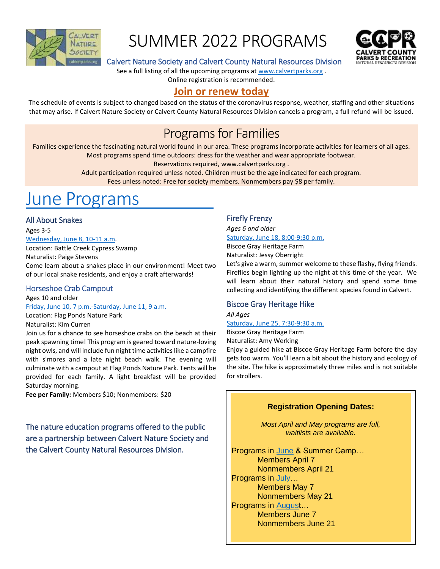

## SUMMER 2022 PROGRAMS



## Calvert Nature Society and Calvert County Natural Resources Division

See a full listing of all the upcoming programs a[t www.calvertparks.org](http://www.calvertparks.org/) .

Online registration is recommended.

## **[Join or renew today](https://www.calvertparks.org/join.html)**

The schedule of events is subject to changed based on the status of the coronavirus response, weather, staffing and other situations that may arise. If Calvert Nature Society or Calvert County Natural Resources Division cancels a program, a full refund will be issued.

## Programs for Families

Families experience the fascinating natural world found in our area. These programs incorporate activities for learners of all ages. Most programs spend time outdoors: dress for the weather and wear appropriate footwear.

Reservations required, [www.calvertparks.org](http://www.calvertparks.org/) .

Adult participation required unless noted. Children must be the age indicated for each program. Fees unless noted: Free for society members. Nonmembers pay \$8 per family.

## [June Programs](https://www.calvertparks.org/calendar.html?EventViewMode=1&EventListViewMode=2&SelectedDate=6/21/2022&CalendarViewType=1)

## All About Snakes

Ages 3-5

[Wednesday, June 8, 10-11 a.m.](https://www.calvertparks.org/event-4547877)

Location: Battle Creek Cypress Swamp Naturalist: Paige Stevens Come learn about a snakes place in our environment! Meet two of our local snake residents, and enjoy a craft afterwards!

## Horseshoe Crab Campout

Ages 10 and older [Friday, June 10, 7 p.m.-Saturday, June 11, 9 a.m.](https://www.calvertparks.org/event-4549130)

Location: Flag Ponds Nature Park

Naturalist: Kim Curren

Join us for a chance to see horseshoe crabs on the beach at their peak spawning time! This program is geared toward nature-loving night owls, and will include fun night time activities like a campfire with s'mores and a late night beach walk. The evening will culminate with a campout at Flag Ponds Nature Park. Tents will be provided for each family. A light breakfast will be provided Saturday morning.

**Fee per Family:** Members \$10; Nonmembers: \$20

The nature education programs offered to the public are a partnership between Calvert Nature Society and the Calvert County Natural Resources Division.

## Firefly Frenzy

*Ages 6 and older* [Saturday, June 18, 8:00-9:30 p.m.](https://www.calvertparks.org/event-4554176?CalendarViewType=1&SelectedDate=6/21/2022) Biscoe Gray Heritage Farm

Naturalist: Jessy Oberright

Let's give a warm, summer welcome to these flashy, flying friends. Fireflies begin lighting up the night at this time of the year. We will learn about their natural history and spend some time collecting and identifying the different species found in Calvert.

## Biscoe Gray Heritage Hike

*All Ages* [Saturday, June 25, 7:30-9:30 a.m.](https://www.calvertparks.org/event-4684041?CalendarViewType=1&SelectedDate=6/21/2022)

Biscoe Gray Heritage Farm

Naturalist: Amy Werking

Enjoy a guided hike at Biscoe Gray Heritage Farm before the day gets too warm. You'll learn a bit about the history and ecology of the site. The hike is approximately three miles and is not suitable for strollers.

## **Registration Opening Dates:**

*Most April and May programs are full, waitlists are available.*

Programs in [June](https://www.calvertparks.org/calendar.html?EventViewMode=1&EventListViewMode=2&SelectedDate=6/21/2022&CalendarViewType=1) & Summer Camp… Members April 7 Nonmembers April 21 Programs in July... Members May 7 Nonmembers May 21 Programs in [August](https://www.calvertparks.org/calendar.html?EventViewMode=1&EventListViewMode=2&SelectedDate=8/21/2022&CalendarViewType=1)… Members June 7 Nonmembers June 21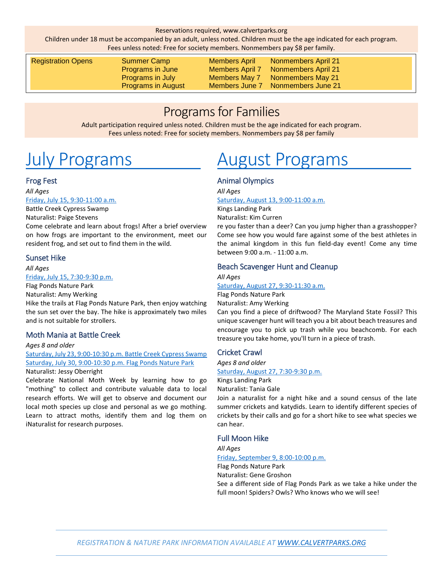Children under 18 must be accompanied by an adult, unless noted. Children must be the age indicated for each program. Fees unless noted: Free for society members. Nonmembers pay \$8 per family.

| <b>Registration Opens</b> | Summer Camp<br>Programs in June<br><b>Programs in July</b><br><b>Programs in August</b> | <b>Members April</b><br><b>Members April 7</b><br><b>Members May 7</b><br>Members June 7 | <b>Nonmembers April 21</b><br><b>Nonmembers April 21</b><br>Nonmembers May 21<br>Nonmembers June 21 |  |
|---------------------------|-----------------------------------------------------------------------------------------|------------------------------------------------------------------------------------------|-----------------------------------------------------------------------------------------------------|--|
|                           |                                                                                         |                                                                                          |                                                                                                     |  |

## Programs for Families

Adult participation required unless noted. Children must be the age indicated for each program. Fees unless noted: Free for society members. Nonmembers pay \$8 per family

# [July Programs](https://www.calvertparks.org/calendar.html?EventViewMode=1&EventListViewMode=2&SelectedDate=7/21/2022&CalendarViewType=1)

## Frog Fest

*All Ages* [Friday, July 15, 9:30-11:00 a.m.](https://www.calvertparks.org/event-4637479?CalendarViewType=1&SelectedDate=7/21/2022) Battle Creek Cypress Swamp

Naturalist: Paige Stevens

Come celebrate and learn about frogs! After a brief overview on how frogs are important to the environment, meet our resident frog, and set out to find them in the wild.

## Sunset Hike

*All Ages* [Friday, July 15, 7:30-9:30 p.m.](https://www.calvertparks.org/event-4684056?CalendarViewType=1&SelectedDate=7/21/2022)

Flag Ponds Nature Park

Naturalist: Amy Werking

Hike the trails at Flag Ponds Nature Park, then enjoy watching the sun set over the bay. The hike is approximately two miles and is not suitable for strollers.

## Moth Mania at Battle Creek

*Ages 8 and older*

[Saturday, July 23, 9:00-10:30 p.m.](https://www.calvertparks.org/event-4649724?CalendarViewType=1&SelectedDate=7/21/2022) Battle Creek Cypress Swamp [Saturday, July 30, 9:00-10:30 p.m. Flag Ponds Nature Park](https://www.calvertparks.org/event-4649728?CalendarViewType=1&SelectedDate=7/21/2022) Naturalist: Jessy Oberright

Celebrate National Moth Week by learning how to go "mothing" to collect and contribute valuable data to local research efforts. We will get to observe and document our local moth species up close and personal as we go mothing. Learn to attract moths, identify them and log them on iNaturalist for research purposes.

# [August Programs](https://www.calvertparks.org/calendar.html?EventViewMode=1&EventListViewMode=2&SelectedDate=8/21/2022&CalendarViewType=1)

## Animal Olympics

*All Ages*

[Saturday, August 13, 9:00-11:00 a.m.](https://www.calvertparks.org/event-4683818?CalendarViewType=1&SelectedDate=8/21/2022)

Kings Landing Park Naturalist: Kim Curren

re you faster than a deer? Can you jump higher than a grasshopper? Come see how you would fare against some of the best athletes in the animal kingdom in this fun field-day event! Come any time between 9:00 a.m. - 11:00 a.m.

## Beach Scavenger Hunt and Cleanup

*All Ages* [Saturday, August 27, 9:30-11:30 a.m.](https://www.calvertparks.org/event-4684070?CalendarViewType=1&SelectedDate=8/21/2022)

Flag Ponds Nature Park Naturalist: Amy Werking

Can you find a piece of driftwood? The Maryland State Fossil? This unique scavenger hunt will teach you a bit about beach treasures and encourage you to pick up trash while you beachcomb. For each treasure you take home, you'll turn in a piece of trash.

## Cricket Crawl

*Ages 8 and older* [Saturday, August 27, 7:30-9:30 p.m.](https://www.calvertparks.org/event-4699609?CalendarViewType=1&SelectedDate=8/21/2022) Kings Landing Park Naturalist: Tania Gale

Join a naturalist for a night hike and a sound census of the late summer crickets and katydids. Learn to identify different species of crickets by their calls and go for a short hike to see what species we can hear.

## Full Moon Hike

*All Ages* [Friday, September 9, 8:00-10:00 p.m.](https://www.calvertparks.org/event-4683099?CalendarViewType=1&SelectedDate=8/21/2022) Flag Ponds Nature Park Naturalist: Gene Groshon See a different side of Flag Ponds Park as we take a hike under the full moon! Spiders? Owls? Who knows who we will see!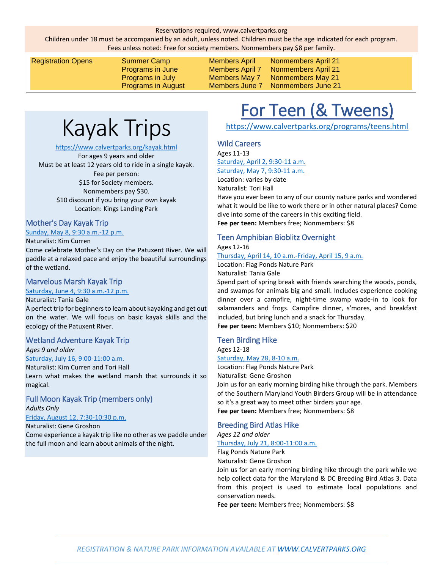Children under 18 must be accompanied by an adult, unless noted. Children must be the age indicated for each program. Fees unless noted: Free for society members. Nonmembers pay \$8 per family.

Registration Opens Summer Camp Members April Nonmembers April 21 Programs in June Members April 7 Nonmembers April 21 Programs in July Members May 7 Nonmembers May 21

Programs in August Members June 7 Nonmembers June 21

# Kayak Trips

#### <https://www.calvertparks.org/kayak.html>

For ages 9 years and older Must be at least 12 years old to ride in a single kayak. Fee per person: \$15 for Society members. Nonmembers pay \$30. \$10 discount if you bring your own kayak Location: Kings Landing Park

#### Mother's Day Kayak Trip

#### [Sunday, May 8, 9:30 a.m.-12 p.m.](https://www.calvertparks.org/event-4546034)

Naturalist: Kim Curren

Come celebrate Mother's Day on the Patuxent River. We will paddle at a relaxed pace and enjoy the beautiful surroundings of the wetland.

### Marvelous Marsh Kayak Trip

#### [Saturday, June 4, 9:30 a.m.-12 p.m.](https://www.calvertparks.org/event-4548096)

Naturalist: Tania Gale

A perfect trip for beginners to learn about kayaking and get out on the water. We will focus on basic kayak skills and the ecology of the Patuxent River.

#### Wetland Adventure Kayak Trip

*Ages 9 and older* [Saturday, July 16, 9:00-11:00 a.m.](https://www.calvertparks.org/event-4729900)

Naturalist: Kim Curren and Tori Hall

Learn what makes the wetland marsh that surrounds it so magical.

### Full Moon Kayak Trip (members only) *Adults Only*

[Friday, August 12, 7:30-10:30 p.m.](https://www.calvertparks.org/event-4683066)

#### Naturalist: Gene Groshon

Come experience a kayak trip like no other as we paddle under the full moon and learn about animals of the night.

# For Teen (& Tweens)

<https://www.calvertparks.org/programs/teens.html>

### Wild Careers

Ages 11-13 [Saturday, April 2, 9:30-11 a.m.](https://www.calvertparks.org/event-4459123?CalendarViewType=0&SelectedDate=1/11/2022) [Saturday, May 7, 9:30-11 a.m.](https://www.calvertparks.org/event-4459135?CalendarViewType=0&SelectedDate=1/11/2022)

Location: varies by date

Naturalist: Tori Hall

Have you ever been to any of our county nature parks and wondered what it would be like to work there or in other natural places? Come dive into some of the careers in this exciting field. **Fee per teen:** Members free; Nonmembers: \$8

## Teen Amphibian Bioblitz Overnight

Ages 12-16

[Thursday, April 14, 10 a.m.-Friday, April 15, 9 a.m.](https://www.calvertparks.org/event-4548013?CalendarViewType=0&SelectedDate=1/11/2022) Location: Flag Ponds Nature Park

Naturalist: Tania Gale

Spend part of spring break with friends searching the woods, ponds, and swamps for animals big and small. Includes experience cooking dinner over a campfire, night-time swamp wade-in to look for salamanders and frogs. Campfire dinner, s'mores, and breakfast included, but bring lunch and a snack for Thursday. **Fee per teen:** Members \$10; Nonmembers: \$20

#### Teen Birding Hike

Ages 12-18

[Saturday, May 28, 8-10 a.m.](https://www.calvertparks.org/event-4538714?CalendarViewType=0&SelectedDate=1/11/2022)

Location: Flag Ponds Nature Park Naturalist: Gene Groshon

Join us for an early morning birding hike through the park. Members of the Southern Maryland Youth Birders Group will be in attendance so it's a great way to meet other birders your age. **Fee per teen:** Members free; Nonmembers: \$8

#### Breeding Bird Atlas Hike

*Ages 12 and older*

#### [Thursday, July 21, 8:00-11:00 a.m.](https://www.calvertparks.org/event-4683094?CalendarViewType=1&SelectedDate=7/21/2022)

Flag Ponds Nature Park

Naturalist: Gene Groshon

Join us for an early morning birding hike through the park while we help collect data for the Maryland & DC Breeding Bird Atlas 3. Data from this project is used to estimate local populations and conservation needs.

**Fee per teen:** Members free; Nonmembers: \$8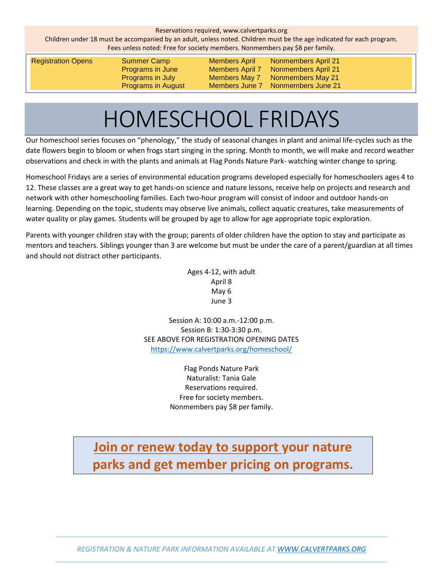Children under 18 must be accompanied by an adult, unless noted. Children must be the age indicated for each program. Fees unless noted: Free for society members. Nonmembers pay \$8 per family.

Registration Opens Summer Camp Members April Nonmembers April 21 Programs in June Members April 7 Nonmembers April 21 Programs in July Members May 7 Nonmembers May 21 Programs in August Members June 7 Nonmembers June 21

# HOMESCHOOL FRIDAYS

Our homeschool series focuses on "phenology," the study of seasonal changes in plant and animal life-cycles such as the date flowers begin to bloom or when frogs start singing in the spring. Month to month, we will make and record weather observations and check in with the plants and animals at Flag Ponds Nature Park- watching winter change to spring.

Homeschool Fridays are a series of environmental education programs developed especially for homeschoolers ages 4 to 12. These classes are a great way to get hands-on science and nature lessons, receive help on projects and research and network with other homeschooling families. Each two-hour program will consist of indoor and outdoor hands-on learning. Depending on the topic, students may observe live animals, collect aquatic creatures, take measurements of water quality or play games. Students will be grouped by age to allow for age appropriate topic exploration.

Parents with younger children stay with the group; parents of older children have the option to stay and participate as mentors and teachers. Siblings younger than 3 are welcome but must be under the care of a parent/guardian at all times and should not distract other participants.

> Ages 4-12, with adult April 8 May 6 June 3

Session A: 10:00 a.m.-12:00 p.m. Session B: 1:30-3:30 p.m. SEE ABOVE FOR REGISTRATION OPENING DATES <https://www.calvertparks.org/homeschool/>

> Flag Ponds Nature Park Naturalist: Tania Gale Reservations required. Free for society members. Nonmembers pay \$8 per family.

## **[Join or renew today](https://www.calvertparks.org/join.html) to support your nature parks and get member pricing on programs.**

*REGISTRATION & NATURE PARK INFORMATION AVAILABLE AT [WWW.CALVERTPARKS.ORG](http://www.calvertparks.org/)*